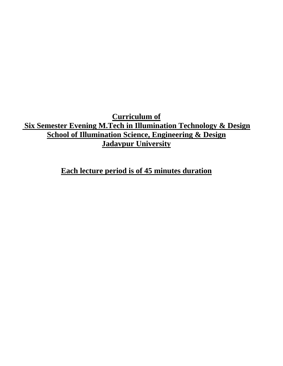**Curriculum of Six Semester Evening M.Tech in Illumination Technology & Design School of Illumination Science, Engineering & Design Jadavpur University**

**Each lecture period is of 45 minutes duration**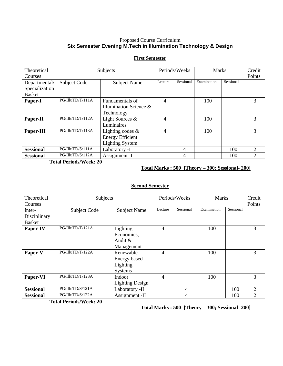## Proposed Course Curriculum **Six Semester Evening M.Tech in Illumination Technology & Design**

#### Theoretical Courses Subjects Periods/Weeks Marks Credit Points Departmental/ Specialization Basket Subject Code Subject Name Lecture Sessional Examination Sessional **Paper-I** PG/IlluTD/T/111A Fundamentals of Illumination Science & Technology 4 | 100 | 3 Paper-II PG/IlluTD/T/112A Light Sources & Luminaires 4 | 100 | 3 Paper-III PG/IlluTD/T/113A Lighting codes & Energy Efficient Lighting System 4 | 100 | 3 **Sessional** PG/IlluTD/S/111A Laboratory -I 4 100 2 **Sessional** PG/IlluTD/S/112A Assignment -I 4 100 2

**First Semester**

**Total Periods/Week: 20** 

**Total Marks : 500 [Theory – 300; Sessional- 200]**

### **Second Semester**

| Theoretical      | Subjects         |                        | Periods/Weeks  |           | <b>Marks</b> |           | Credit         |
|------------------|------------------|------------------------|----------------|-----------|--------------|-----------|----------------|
| Courses          |                  |                        |                |           |              |           | Points         |
| Inter-           | Subject Code     | <b>Subject Name</b>    | Lecture        | Sessional | Examination  | Sessional |                |
| Disciplinary     |                  |                        |                |           |              |           |                |
| <b>Basket</b>    |                  |                        |                |           |              |           |                |
| Paper-IV         | PG/IlluTD/T/121A | Lighting               | 4              |           | 100          |           | 3              |
|                  |                  | Economics,             |                |           |              |           |                |
|                  |                  | Audit $\&$             |                |           |              |           |                |
|                  |                  | Management             |                |           |              |           |                |
| Paper-V          | PG/IlluTD/T/122A | Renewable              | $\overline{4}$ |           | 100          |           | 3              |
|                  |                  | Energy based           |                |           |              |           |                |
|                  |                  | Lighting               |                |           |              |           |                |
|                  |                  | Systems                |                |           |              |           |                |
| Paper-VI         | PG/IlluTD/T/123A | Indoor                 | 4              |           | 100          |           | 3              |
|                  |                  | <b>Lighting Design</b> |                |           |              |           |                |
| <b>Sessional</b> | PG/IlluTD/S/121A | Laboratory -II         |                | 4         |              | 100       | $\overline{2}$ |
| <b>Sessional</b> | PG/IlluTD/S/122A | Assignment -II         |                | 4         |              | 100       | 2              |

**Total Periods/Week: 20** 

**Total Marks : 500 [Theory – 300; Sessional- 200]**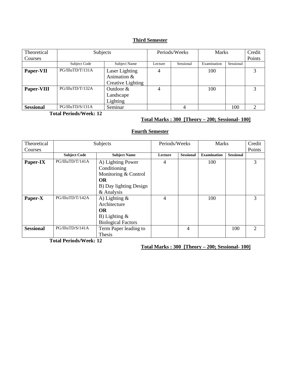# **Third Semester**

| Theoretical      | Subjects         |                                                    | Periods/Weeks |           | <b>Marks</b> |           | Credit |
|------------------|------------------|----------------------------------------------------|---------------|-----------|--------------|-----------|--------|
| Courses          |                  |                                                    |               |           |              |           | Points |
|                  | Subject Code     | Subject Name                                       | Lecture       | Sessional | Examination  | Sessional |        |
| Paper-VII        | PG/IlluTD/T/131A | Laser Lighting<br>Animation &<br>Creative Lighting |               |           | 100          |           | 3      |
| Paper-VIII       | PG/IlluTD/T/132A | Outdoor $&$<br>Landscape<br>Lighting               | 4             |           | 100          |           |        |
| <b>Sessional</b> | PG/IlluTD/S/131A | Seminar                                            |               |           |              | 100       | ∍      |

**Total Periods/Week: 12** 

## **Total Marks : 300 [Theory – 200; Sessional- 100]**

# **Fourth Semester**

| Theoretical<br>Courses | Subjects            |                                                                                                                | Periods/Weeks |                  | <b>Marks</b>       |                  | Credit<br>Points            |
|------------------------|---------------------|----------------------------------------------------------------------------------------------------------------|---------------|------------------|--------------------|------------------|-----------------------------|
|                        | <b>Subject Code</b> | <b>Subject Name</b>                                                                                            | Lecture       | <b>Sessional</b> | <b>Examination</b> | <b>Sessional</b> |                             |
| Paper-IX               | PG/IlluTD/T/141A    | A) Lighting Power<br>Conditioning<br>Monitoring & Control<br><b>OR</b><br>B) Day lighting Design<br>& Analysis | 4             |                  | 100                |                  | 3                           |
| Paper-X                | PG/IlluTD/T/142A    | A) Lighting $\&$<br>Architecture<br><b>OR</b><br>B) Lighting $\&$<br><b>Biological Factors</b>                 | 4             |                  | 100                |                  | 3                           |
| <b>Sessional</b>       | PG/IlluTD/S/141A    | Term Paper leading to<br>Thesis                                                                                |               | 4                |                    | 100              | $\mathcal{D}_{\mathcal{L}}$ |

**Total Periods/Week: 12** 

**Total Marks : 300 [Theory – 200; Sessional- 100]**